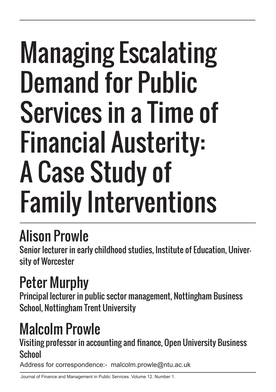# Managing Escalating Demand for Public Services in a Time of Financial Austerity: A Case Study of Family Interventions

# Alison Prowle

Senior lecturer in early childhood studies, Institute of Education, University of Worcester

# Peter Murphy

Principal lecturer in public sector management, Nottingham Business School, Nottingham Trent University

# Malcolm Prowle

Visiting professor in accounting and finance, Open University Business **School** 

Address for correspondence:- malcolm.prowle@ntu.ac.uk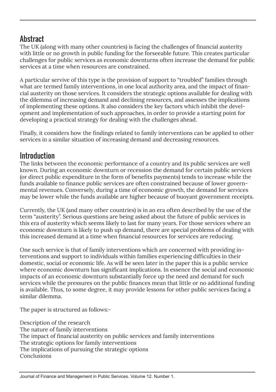## **Abstract**

The UK (along with many other countries) is facing the challenges of financial austerity with little or no growth in public funding for the forseeable future. This creates particular challenges for public services as economic downturns often increase the demand for public services at a time when resources are constrained.

A particular servive of this type is the provision of support to "troubled" families through what are termed family interventions, in one local authority area, and the impact of financial austerity on those services. It considers the strategic options available for dealing with the dilemma of increasing demand and declining resources, and assesses the implications of implementing these options. It also considers the key factors which inhibit the development and implementation of such approaches, in order to provide a starting point for developing a practical strategy for dealing with the challenges ahead.

Finally, it considers how the findings related to family interventions can be applied to other services in a similar situation of increasing demand and decreasing resources.

### **Introduction**

The links between the economic performance of a country and its public services are well known. During an economic downturn or recession the demand for certain public services (or direct public expenditure in the form of benefits payments) tends to increase while the funds available to finance public services are often constrained because of lower governmental revenues. Conversely, during a time of economic growth, the demand for services may be lower while the funds available are higher because of buoyant government receipts.

Currently, the UK (and many other countries) is in an era often described by the use of the term "austerity". Serious questions are being asked about the future of public services in this era of austerity which seems likely to last for many years. For those services where an economic downturn is likely to push up demand, there are special problems of dealing with this increased demand at a time when financial resources for services are reducing.

One such service is that of family interventions which are concerned with providing interventions and support to individuals within families experiencing difficulties in their domestic, social or economic life. As will be seen later in the paper this is a public service where economic downturn has significant implications. In essence the social and economic impacts of an economic downturn substantially force up the need and demand for such services while the pressures on the public finances mean that little or no additional funding is available. Thus, to some degree, it may provide lessons for other public services facing a similar dilemma.

The paper is structured as follows:-

Description of the research The nature of family interventions The impact of financial austerity on public services and family interventions The strategic options for family interventions The implications of pursuing the strategic options **Conclusions**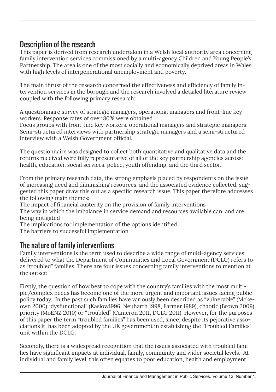### Description of the research

This paper is derived from research undertaken in a Welsh local authority area concerning family intervention services commissioned by a multi-agency Children and Young People's Partnership. The area is one of the most socially and economically deprived areas in Wales with high levels of intergenerational unemployment and poverty.

The main thrust of the research concerned the effectiveness and efficiency of family intervention services in the borough and the research involved a detailed literature review coupled with the following primary research:

A questionnaire survey of strategic managers, operational managers and front-line key workers. Response rates of over 80% were obtained

Focus groups with front-line key workers, operational managers and strategic managers. Semi-structured interviews with partnership strategic managers and a semi-structured interview with a Welsh Government official.

The questionnaire was designed to collect both quantitative and qualitative data and the returns received were fully representative of all of the key partnership agencies across: health, education, social services, police, youth offending, and the third sector.

From the primary research data, the strong emphasis placed by respondents on the issue of increasing need and diminishing resources, and the associated evidence collected, suggested this paper draw this out as a specific research issue. This paper therefore addresses the following main themes:-

The impact of financial austerity on the provision of family interventions

The way in which the imbalance in service demand and resources available can, and are, being mitigated

The implications for implementation of the options identified

The barriers to successful implementation

### The nature of family interventions

Family interventions is the term used to describe a wide range of multi-agency services delivered to what the Department of Communities and Local Government (DCLG) refers to as "troubled" families. There are four issues concerning family interventions to mention at the outset:

Firstly, the question of how best to cope with the country's families with the most multiple/complex needs has become one of the more urgent and important issues facing public policy today. In the past such families have variously been described as "vulnerable" (Mckeown 2000) "dysfunctional" (Kaslow1996, Neuharth 1998, Farmer 1989), chaotic (Brown 2009), priority (MoENZ 2010) or "troubled" (Cameron 2011, DCLG 2011). However, for the purposes of this paper the term "troubled families" has been used, since, despite its pejorative associations it has been adopted by the UK government in establishing the 'Troubled Families' unit within the DCLG.

Secondly, there is a widespread recognition that the issues associated with troubled families have significant impacts at individual, family, community and wider societal levels. At individual and family level, this often equates to poor education, health and employment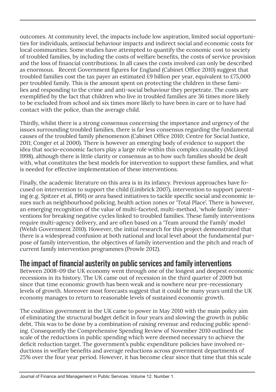outcomes. At community level, the impacts include low aspiration, limited social opportunities for individuals, antisocial behaviour impacts and indirect social and economic costs for local communities. Some studies have attempted to quantify the economic cost to society of troubled families, by including the costs of welfare benefits, the costs of service provision and the loss of financial contributions. In all cases the costs involved can only be described as enormous. Recent Government figures for England (Cabinet Office 2010) suggest that troubled families cost the tax payer an estimated £9 billion per year, equivalent to £75,000 per troubled family. This is the amount spent on protecting the children in these families and responding to the crime and anti-social behaviour they perpetrate. The costs are exemplified by the fact that children who live in troubled families are 36 times more likely to be excluded from school and six times more likely to have been in care or to have had contact with the police, than the average child.

Thirdly, whilst there is a strong consensus concerning the importance and urgency of the issues surrounding troubled families, there is far less consensus regarding the fundamental causes of the troubled family phenomenon (Cabinet Office 2010; Centre for Social Justice, 2011; Conger et al 2000). There is however an emerging body of evidence to support the idea that socio-economic factors play a large role within this complex causality (McLloyd 1998), although there is little clarity or consensus as to how such families should be dealt with, what constitutes the best models for intervention to support these families, and what is needed for effective implementation of these interventions.

Finally, the academic literature on this area is in its infancy. Previous approaches have focused on intervention to support the child (Limbrick 2007), intervention to support parenting (e.g. Spitzer et al, 1991) or area based initiatives to tackle specific social and economic issues such as neighbourhood policing, health action zones or 'Total Place'. There is however, an emerging recognition of the value of multi-faceted, multi-method, 'whole family' interventions for breaking negative cycles linked to troubled families. These family interventions require multi-agency delivery, and are often based on a 'Team around the Family' model (Welsh Government 2010). However, the initial research for this project demonstrated that there is a widespread confusion at both national and local level about the fundamental purpose of family intervention, the objectives of family intervention and the pitch and reach of current family intervention programmes (Prowle 2012).

#### The impact of financial austerity on public services and family interventions

Between 2008-09 the UK economy went through one of the longest and deepest economic recessions in its history. The UK came out of recession in the third quarter of 2009 but since that time economic growth has been weak and is nowhere near pre-recessionary levels of growth. Moreover most forecasts suggest that it could be many years until the UK economy manages to return to reasonable levels of sustained economic growth.

The coalition government in the UK came to power in May 2010 with the main policy aim of eliminating the structural budget deficit in four years and slowing the growth in public debt. This was to be done by a combination of raising revenue and reducing public spending. Consequently the Comprehensive Spending Review of November 2010 outlined the scale of the reductions in public spending which were deemed necessary to achieve the deficit reduction target. The government's public expenditure policies have involved reductions in welfare benefits and average reductions across government departments of 25% over the four year period. However, it has become clear since that time that this scale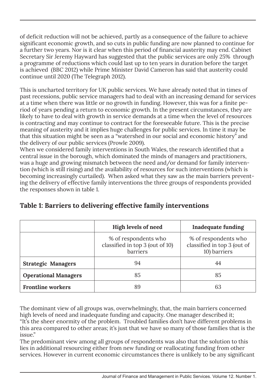of deficit reduction will not be achieved, partly as a consequence of the failure to achieve significant economic growth, and so cuts in public funding are now planned to continue for a further two years. Nor is it clear when this period of financial austerity may end. Cabinet Secretary Sir Jeremy Hayward has suggested that the public services are only 25% through a programme of reductions which could last up to ten years in duration before the target is achieved (BBC 2012) while Prime Minister David Cameron has said that austerity could continue until 2020 (The Telegraph 2012).

This is uncharted territory for UK public services. We have already noted that in times of past recessions, public service managers had to deal with an increasing demand for services at a time when there was little or no growth in funding. However, this was for a finite period of years pending a return to economic growth. In the present circumstances, they are likely to have to deal with growth in service demands at a time when the level of resources is contracting and may continue to contract for the foreseeable future. This is the precise meaning of austerity and it implies huge challenges for public services. In time it may be that this situation might be seen as a "watershed in our social and economic history" and the delivery of our public services (Prowle 2009).

When we considered family interventions in South Wales, the research identified that a central issue in the borough, which dominated the minds of managers and practitioners, was a huge and growing mismatch between the need and/or demand for family intervention (which is still rising) and the availability of resources for such interventions (which is becoming increasingly curtailed). When asked what they saw as the main barriers preventing the delivery of effective family interventions the three groups of respondents provided the responses shown in table 1.

|                                                                     | High levels of need<br><b>Inadequate funding</b>                    |                                                                     |
|---------------------------------------------------------------------|---------------------------------------------------------------------|---------------------------------------------------------------------|
|                                                                     | % of respondents who<br>classified in top 3 (out of 10)<br>barriers | % of respondents who<br>classified in top 3 (out of<br>10) barriers |
| <b>Strategic Managers</b>                                           | 94<br>44                                                            |                                                                     |
| <b>Operational Managers</b><br>85<br><b>Frontline workers</b><br>89 |                                                                     | 85                                                                  |
|                                                                     |                                                                     | 63                                                                  |

#### **Table 1: Barriers to delivering effective family interventions**

The dominant view of all groups was, overwhelmingly, that, the main barriers concerned high levels of need and inadequate funding and capacity. One manager described it; "It's the sheer enormity of the problem. Troubled families don't have different problems in this area compared to other areas; it's just that we have so many of those families that is the issue."

The predominant view among all groups of respondents was also that the solution to this lies in additional resourcing either from new funding or reallocating funding from other services. However in current economic circumstances there is unlikely to be any significant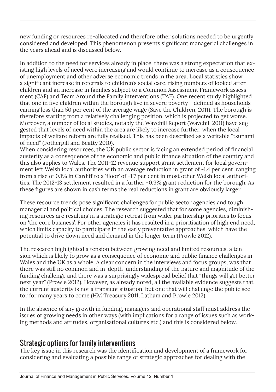new funding or resources re-allocated and therefore other solutions needed to be urgently considered and developed. This phenomenon presents significant managerial challenges in the years ahead and is discussed below.

In addition to the need for services already in place, there was a strong expectation that existing high levels of need were increasing and would continue to increase as a consequence of unemployment and other adverse economic trends in the area. Local statistics show a significant increase in referrals to children's social care, rising numbers of looked after children and an increase in families subject to a Common Assessment Framework assessment (CAF) and Team Around the Family interventions (TAF). One recent study highlighted that one in five children within the borough live in severe poverty - defined as households earning less than 50 per cent of the average wage (Save the Children, 2011). The borough is therefore starting from a relatively challenging position, which is projected to get worse. Moreover, a number of local studies, notably the Wavehill Report (Wavehill 2011) have suggested that levels of need within the area are likely to increase further, when the local impacts of welfare reform are fully realised. This has been described as a veritable "tsunami of need" (Fothergill and Beatty 2010).

When considering resources, the UK public sector is facing an extended period of financial austerity as a consequence of the economic and public finance situation of the country and this also applies to Wales. The 2011-12 revenue support grant settlement for local government left Welsh local authorities with an average reduction in grant of -1.4 per cent, ranging from a rise of 0.1% in Cardiff to a 'floor' of -1.7 per cent in most other Welsh local authorities. The 2012-13 settlement resulted in a further -0.9% grant reduction for the borough. As these figures are shown in cash terms the real reductions in grant are obviously larger.

These resource trends pose significant challenges for public sector agencies and tough managerial and political choices. The research suggested that for some agencies, diminishing resources are resulting in a strategic retreat from wider partnership priorities to focus on 'the core business'. For other agencies it has resulted in a prioritisation of high end need, which limits capacity to participate in the early preventative approaches, which have the potential to drive down need and demand in the longer term (Prowle 2012).

The research highlighted a tension between growing need and limited resources, a tension which is likely to grow as a consequence of economic and public finance challenges in Wales and the UK as a whole. A clear concern in the interviews and focus groups, was that there was still no common and in-depth understanding of the nature and magnitude of the funding challenge and there was a surprisingly widespread belief that "things will get better next year" (Prowle 2012). However, as already noted, all the available evidence suggests that the current austerity is not a transient situation, but one that will challenge the public sector for many years to come (HM Treasury 2011, Latham and Prowle 2012).

In the absence of any growth in funding, managers and operational staff must address the issues of growing needs in other ways (with implications for a range of issues such as working methods and attitudes, organisational cultures etc.) and this is considered below.

#### Strategic options for family interventions

The key issue in this research was the identification and development of a framework for considering and evaluating a possible range of strategic approaches for dealing with the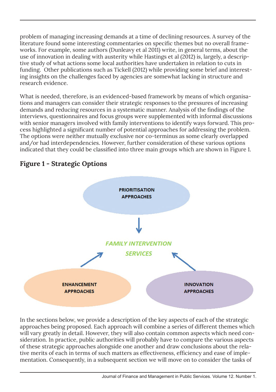problem of managing increasing demands at a time of declining resources. A survey of the literature found some interesting commentaries on specific themes but no overall frameworks. For example, some authors (Dunleavy et al 2011) write, in general terms, about the use of innovation in dealing with austerity while Hastings et al (2012) is, largely, a descriptive study of what actions some local authorities have undertaken in relation to cuts in funding. Other publications such as Tickell (2012) while providing some brief and interesting insights on the challenges faced by agencies are somewhat lacking in structure and research evidence.

What is needed, therefore, is an evidenced-based framework by means of which organisations and managers can consider their strategic responses to the pressures of increasing demands and reducing resources in a systematic manner. Analysis of the findings of the interviews, questionnaires and focus groups were supplemented with informal discussions with senior managers involved with family interventions to identify ways forward. This process highlighted a significant number of potential approaches for addressing the problem. The options were neither mutually exclusive nor co-terminus as some clearly overlapped and/or had interdependencies. However, further consideration of these various options indicated that they could be classified into three main groups which are shown in Figure 1.



**Figure 1 - Strategic Options** 

In the sections below, we provide a description of the key aspects of each of the strategic approaches being proposed. Each approach will combine a series of different themes which will vary greatly in detail. However, they will also contain common aspects which need consideration. In practice, public authorities will probably have to compare the various aspects of these strategic approaches alongside one another and draw conclusions about the relative merits of each in terms of such matters as effectiveness, efficiency and ease of implementation. Consequently, in a subsequent section we will move on to consider the tasks of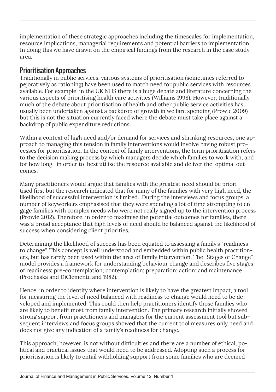implementation of these strategic approaches including the timescales for implementation, resource implications, managerial requirements and potential barriers to implementation. In doing this we have drawn on the empirical findings from the research in the case study area.

#### Prioritisation Approaches

Traditionally in public services, various systems of prioritisation (sometimes referred to pejoratively as rationing) have been used to match need for public services with resources available. For example, in the UK NHS there is a huge debate and literature concerning the various aspects of prioritising health care activities (Williams 1998). However, traditionally much of the debate about prioritisation of health and other public service activities has usually been undertaken against a backdrop of growth in welfare spending (Prowle 2009) but this is not the situation currently faced where the debate must take place against a backdrop of public expenditure reductions.

Within a context of high need and/or demand for services and shrinking resources, one approach to managing this tension in family interventions would involve having robust processes for prioritisation. In the context of family interventions, the term prioritisation refers to the decision making process by which managers decide which families to work with, and for how long, in order to best utilise the resource available and deliver the optimal outcomes.

Many practitioners would argue that families with the greatest need should be prioritised first but the research indicated that for many of the families with very high need, the likelihood of successful intervention is limited. During the interviews and focus groups, a number of keyworkers emphasised that they were spending a lot of time attempting to engage families with complex needs who were not really signed up to the intervention process (Prowle 2012). Therefore, in order to maximise the potential outcomes for families, there was a broad acceptance that high levels of need should be balanced against the likelihood of success when considering client priorities.

Determining the likelihood of success has been equated to assessing a family's "readiness to change". This concept is well understood and embedded within public health practitioners, but has rarely been used within the area of family intervention. The "Stages of Change" model provides a framework for understanding behaviour change and describes five stages of readiness: pre-contemplation; contemplation; preparation; action; and maintenance. (Prochaska and DiClemente and 1982).

Hence, in order to identify where intervention is likely to have the greatest impact, a tool for measuring the level of need balanced with readiness to change would need to be developed and implemented. This could then help practitioners identify those families who are likely to benefit most from family intervention. The primary research initially showed strong support from practitioners and managers for the current assessment tool but subsequent interviews and focus groups showed that the current tool measures only need and does not give any indication of a family's readiness for change.

This approach, however, is not without difficulties and there are a number of ethical, political and practical issues that would need to be addressed. Adopting such a process for prioritisation is likely to entail withholding support from some families who are deemed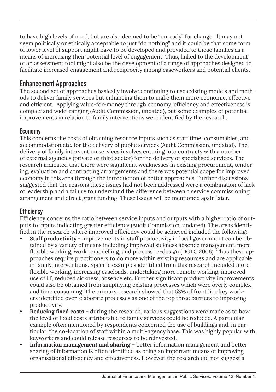to have high levels of need, but are also deemed to be "unready" for change. It may not seem politically or ethically acceptable to just "do nothing" and it could be that some form of lower level of support might have to be developed and provided to those families as a means of increasing their potential level of engagement. Thus, linked to the development of an assessment tool might also be the development of a range of approaches designed to facilitate increased engagement and reciprocity among caseworkers and potential clients.

#### Enhancement Approaches

The second set of approaches basically involve continuing to use existing models and methods to deliver family services but enhancing them to make them more economic, effective and efficient. Applying value-for-money through economy, efficiency and effectiveness is complex and wide-ranging (Audit Commission, undated), but some examples of potential improvements in relation to family interventions were identified by the research.

#### Economy

This concerns the costs of obtaining resource inputs such as staff time, consumables, and accommodation etc. for the delivery of public services (Audit Commission, undated). The delivery of family intervention services involves entering into contracts with a number of external agencies (private or third sector) for the delivery of specialised services. The research indicated that there were significant weaknesses in existing procurement, tendering, evaluation and contracting arrangements and there was potential scope for improved economy in this area through the introduction of better approaches. Further discussions suggested that the reasons these issues had not been addressed were a combination of lack of leadership and a failure to understand the difference between a service commissioning arrangement and direct grant funding. These issues will be mentioned again later.

#### **Efficiency**

Efficiency concerns the ratio between service inputs and outputs with a higher ratio of outputs to inputs indicating greater efficiency (Audit Commission, undated). The areas identified in the research where improved efficiency could be achieved included the following:

- **Staff productivity** improvements in staff productivity in local government can be obtained by a variety of means including: improved sickness absence management, more flexible working, work remodelling, and process re-design (DGLC 2006). Thus these approaches require practitioners to do more within existing resources and are applicable in family interventions. Specific examples identified from this research included more flexible working, increasing caseloads, undertaking more remote working, improved use of IT, reduced sickness, absence etc. Further significant productivity improvements could also be obtained from simplifying existing processes which were overly complex and time consuming. The primary research showed that 53% of front line key workers identified over-elaborate processes as one of the top three barriers to improving productivity.
- **• Reducing fixed costs** during the research, various suggestions were made as to how the level of fixed costs attributable to family services could be reduced. A particular example often mentioned by respondents concerned the use of buildings and, in particular, the co-location of staff within a multi-agency base. This was highly popular with keyworkers and could release resources to be reinvested.
- **Information management and sharing** better information management and better sharing of information is often identified as being an important means of improving organisational efficiency and effectiveness. However, the research did not suggest a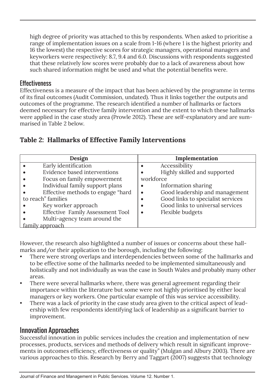high degree of priority was attached to this by respondents. When asked to prioritise a range of implementation issues on a scale from 1-16 (where 1 is the highest priority and 16 the lowest) the respective scores for strategic managers, operational managers and keyworkers were respectively: 8.7, 9.4 and 6.0. Discussions with respondents suggested that these relatively low scores were probably due to a lack of awareness about how such shared information might be used and what the potential benefits were.

#### **Effectiveness**

Effectiveness is a measure of the impact that has been achieved by the programme in terms of its final outcomes (Audit Commission, undated). Thus it links together the outputs and outcomes of the programme. The research identified a number of hallmarks or factors deemed necessary for effective family intervention and the extent to which these hallmarks were applied in the case study area (Prowle 2012). These are self-explanatory and are summarised in Table 2 below.

#### **Table 2: Hallmarks of Effective Family Interventions**

| Design                            | Implementation                              |
|-----------------------------------|---------------------------------------------|
| Early identification              | Accessibility<br>٠                          |
| Evidence based interventions      | Highly skilled and supported                |
| Focus on family empowerment       | workforce                                   |
| Individual family support plans   | Information sharing                         |
| Effective methods to engage "hard | Good leadership and management<br>$\bullet$ |
| to reach" families                | Good links to specialist services<br>٠      |
| Key worker approach               | Good links to universal services<br>٠       |
| Effective Family Assessment Tool  | Flexible budgets                            |
| Multi-agency team around the      |                                             |
| family approach                   |                                             |

However, the research also highlighted a number of issues or concerns about these hallmarks and/or their application to the borough, including the following:

- There were strong overlaps and interdependencies between some of the hallmarks and to be effective some of the hallmarks needed to be implemented simultaneously and holistically and not individually as was the case in South Wales and probably many other areas.
- There were several hallmarks where, there was general agreement regarding their importance within the literature but some were not highly prioritised by either local managers or key workers. One particular example of this was service accessibility.
- There was a lack of priority in the case study area given to the critical aspect of leadership with few respondents identifying lack of leadership as a significant barrier to improvement.

#### Innovation Approaches

Successful innovation in public services includes the creation and implementation of new processes, products, services and methods of delivery which result in significant improvements in outcomes efficiency, effectiveness or quality" (Mulgan and Albury 2003). There are various approaches to this. Research by Berry and Taggart (2007) suggests that technology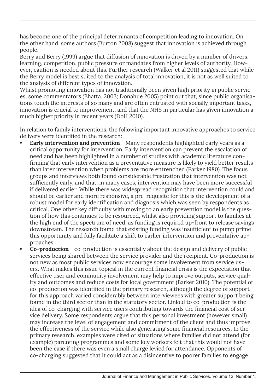has become one of the principal determinants of competition leading to innovation. On the other hand, some authors (Burton 2008) suggest that innovation is achieved through people.

Berry and Berry (1999) argue that diffusion of innovation is driven by a number of drivers: learning, competition, public pressure or mandates from higher levels of authority. However, caution is needed about this. Further research (Walker et al 2011) suggested that while the Berry model is best suited to the analysis of total innovation, it is not as well suited to the analysis of different types of innovation.

Whilst promoting innovation has not traditionally been given high priority in public services, some commentators (Bhatta, 2003; Donahue 2005) point out that, since public organisations touch the interests of so many and are often entrusted with socially important tasks, innovation is crucial to improvement, and that the NHS in particular has given innovation a much higher priority in recent years (DoH 2010).

In relation to family interventions, the following important innovative approaches to service delivery were identified in the research:

- **Early intervention and prevention** Many respondents highlighted early years as a critical opportunity for intervention. Early intervention can prevent the escalation of need and has been highlighted in a number of studies with academic literature confirming that early intervention as a preventative measure is likely to yield better results than later intervention when problems are more entrenched (Parker 1980). The focus groups and interviews both found considerable frustration that intervention was not sufficiently early, and that, in many cases, intervention may have been more successful if delivered earlier. While there was widespread recognition that intervention could and should be earlier and more responsive, a pre-requisite for this is the development of a robust model for early identification and diagnosis which was seen by respondents as critical. One other key difficulty with moving to an early prevention model is the question of how this continues to be resourced, whilst also providing support to families at the high end of the spectrum of need, as funding is required up-front to release savings downstream. The research found that existing funding was insufficient to pump prime this opportunity and fully facilitate a shift to earlier intervention and preventative approaches.
- **• Co-production** co-production is essentially about the design and delivery of public services being shared between the service provider and the recipient. Co-production is not new as most public services now encourage some involvement from service users. What makes this issue topical in the current financial crisis is the expectation that effective user and community involvement may help to improve outputs, service quality and outcomes and reduce costs for local government (Barker 2010). The potential of co-production was identified in the primary research, although the degree of support for this approach varied considerably between interviewees with greater support being found in the third sector than in the statutory sector. Linked to co-production is the idea of co-charging with service users contributing towards the financial cost of service delivery. Some respondents argue that this personal investment (however small) may increase the level of engagement and commitment of the client and thus improve the effectiveness of the service while also generating some financial resources. In the primary research, examples were cited of situations where families did not attend (for example) parenting programmes and some key workers felt that this would not have been the case if there was even a small charge levied for attendance. Opponents of co-charging suggested that it could act as a disincentive to poorer families to engage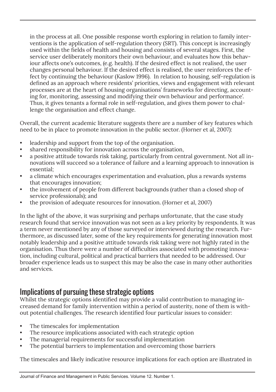in the process at all. One possible response worth exploring in relation to family interventions is the application of self-regulation theory (SRT). This concept is increasingly used within the fields of health and housing and consists of several stages. First, the service user deliberately monitors their own behaviour, and evaluates how this behaviour affects one's outcomes, (e.g. health). If the desired effect is not realised, the user changes personal behaviour. If the desired effect is realised, the user reinforces the effect by continuing the behaviour (Kaslow 1996). In relation to housing, self-regulation is defined as an approach where residents' priorities, views and engagement with relevant processes are at the heart of housing organisations' frameworks for directing, accounting for, monitoring, assessing and modifying their own behaviour and performance'. Thus, it gives tenants a formal role in self-regulation, and gives them power to challenge the organisation and effect change.

Overall, the current academic literature suggests there are a number of key features which need to be in place to promote innovation in the public sector. (Horner et al, 2007):

- leadership and support from the top of the organisation.
- shared responsibility for innovation across the organisation,
- a positive attitude towards risk taking, particularly from central government. Not all innovations will succeed so a tolerance of failure and a learning approach to innovation is essential;
- a climate which encourages experimentation and evaluation, plus a rewards systems that encourages innovation;
- the involvement of people from different backgrounds (rather than a closed shop of service professionals); and
- the provision of adequate resources for innovation. (Horner et al, 2007)

In the light of the above, it was surprising and perhaps unfortunate, that the case study research found that service innovation was not seen as a key priority by respondents. It was a term never mentioned by any of those surveyed or interviewed during the research. Furthermore, as discussed later, some of the key requirements for generating innovation most notably leadership and a positive attitude towards risk taking were not highly rated in the organisation. Thus there were a number of difficulties associated with promoting innovation, including cultural, political and practical barriers that needed to be addressed. Our broader experience leads us to suspect this may be also the case in many other authorities and services.

#### Implications of pursuing these strategic options

Whilst the strategic options identified may provide a valid contribution to managing increased demand for family intervention within a period of austerity, none of them is without potential challenges. The research identified four particular issues to consider:

- The timescales for implementation
- The resource implications associated with each strategic option
- The managerial requirements for successful implementation
- The potential barriers to implementation and overcoming those barriers

The timescales and likely indicative resource implications for each option are illustrated in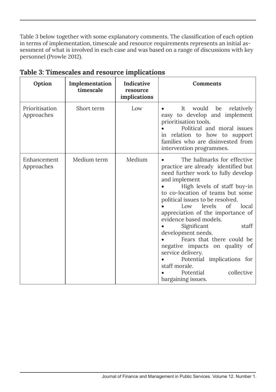Table 3 below together with some explanatory comments. The classification of each option in terms of implementation, timescale and resource requirements represents an initial assessment of what is involved in each case and was based on a range of discussions with key personnel (Prowle 2012).

| Option                       | Implementation<br>timescale | Indicative<br>resource<br>implications | <b>Comments</b>                                                                                                                                                                                                                                                                                                                                                                                                                                                                                                                                                   |
|------------------------------|-----------------------------|----------------------------------------|-------------------------------------------------------------------------------------------------------------------------------------------------------------------------------------------------------------------------------------------------------------------------------------------------------------------------------------------------------------------------------------------------------------------------------------------------------------------------------------------------------------------------------------------------------------------|
| Prioritisation<br>Approaches | Short term                  | Low                                    | would<br>be<br>It<br>relatively<br>easy to develop and implement<br>prioritisation tools.<br>Political and moral issues<br>in relation to how to support<br>families who are disinvested from<br>intervention programmes.                                                                                                                                                                                                                                                                                                                                         |
| Enhancement<br>Approaches    | Medium term                 | Medium                                 | The hallmarks for effective<br>practice are already identified but<br>need further work to fully develop<br>and implement<br>High levels of staff buy-in<br>to co-location of teams but some<br>political issues to be resolved.<br>levels<br>of<br>local<br>Low<br>appreciation of the importance of<br>evidence based models.<br>Significant<br>staff<br>development needs.<br>Fears that there could be<br>negative impacts on quality of<br>service delivery.<br>Potential implications for<br>staff morale.<br>collective<br>Potential<br>bargaining issues. |

#### **Table 3: Timescales and resource implications**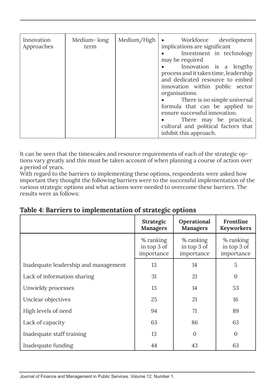| Innovation<br>Approaches | Medium-long<br>term | Median/High | • Workforce development<br>implications are significant<br>• Investment in technology<br>may be required<br>Innovation is a lengthy<br>process and it takes time, leadership<br>and dedicated resource to embed<br>innovation within public sector<br>organisations.<br>There is no simple universal<br>$\bullet$ . The set of $\bullet$<br>formula that can be applied to<br>ensure successful innovation.<br>There may be practical,<br>$\bullet$ and $\bullet$<br>cultural and political factors that<br>inhibit this approach. |
|--------------------------|---------------------|-------------|------------------------------------------------------------------------------------------------------------------------------------------------------------------------------------------------------------------------------------------------------------------------------------------------------------------------------------------------------------------------------------------------------------------------------------------------------------------------------------------------------------------------------------|
|--------------------------|---------------------|-------------|------------------------------------------------------------------------------------------------------------------------------------------------------------------------------------------------------------------------------------------------------------------------------------------------------------------------------------------------------------------------------------------------------------------------------------------------------------------------------------------------------------------------------------|

It can be seen that the timescales and resource requirements of each of the strategic options vary greatly and this must be taken account of when planning a course of action over a period of years.

With regard to the barriers to implementing these options, respondents were asked how important they thought the following barriers were to the successful implementation of the various strategic options and what actions were needed to overcome these barriers. The results were as follows:

|                                      | <b>Strategic</b><br><b>Managers</b>    | Operational<br><b>Managers</b>         | Frontline<br><b>Keyworkers</b>         |
|--------------------------------------|----------------------------------------|----------------------------------------|----------------------------------------|
|                                      | % ranking<br>in top 3 of<br>importance | % ranking<br>in top 3 of<br>importance | % ranking<br>in top 3 of<br>importance |
| Inadequate leadership and management | 13                                     | 14                                     | 5                                      |
| Lack of information sharing          | 31                                     | 21                                     | $\boldsymbol{0}$                       |
| Unwieldy processes                   | 13                                     | 14                                     | 53                                     |
| Unclear objectives                   | 25                                     | 21                                     | 16                                     |
| High levels of need                  | 94                                     | 71                                     | 89                                     |
| Lack of capacity                     | 63                                     | 86                                     | 63                                     |
| Inadequate staff training            | 13                                     | $\Omega$                               | $\mathbf{0}$                           |
| Inadequate funding                   | 44                                     | 43                                     | 63                                     |

**Table 4: Barriers to implementation of strategic options**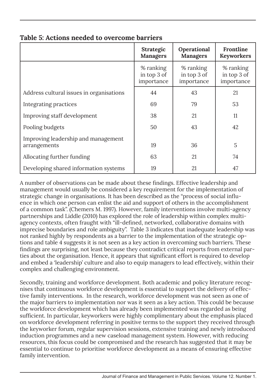|                                                     | <b>Strategic</b><br><b>Managers</b>    | Operational<br><b>Managers</b>         | Frontline<br><b>Keyworkers</b>         |
|-----------------------------------------------------|----------------------------------------|----------------------------------------|----------------------------------------|
|                                                     | % ranking<br>in top 3 of<br>importance | % ranking<br>in top 3 of<br>importance | % ranking<br>in top 3 of<br>importance |
| Address cultural issues in organisations            | 44                                     | 43                                     | 21                                     |
| Integrating practices                               | 69                                     | 79                                     | 53                                     |
| Improving staff development                         | 38                                     | 21                                     | 11                                     |
| Pooling budgets                                     | 50                                     | 43                                     | 42                                     |
| Improving leadership and management<br>arrangements | 19                                     | 36                                     | 5                                      |
| Allocating further funding                          | 63                                     | 21                                     | 74                                     |
| Developing shared information systems               | 19                                     | 21                                     | 47                                     |

#### **Table 5: Actions needed to overcome barriers**

A number of observations can be made about these findings. Effective leadership and management would usually be considered a key requirement for the implementation of strategic change in organisations. It has been described as the "process of social influence in which one person can enlist the aid and support of others in the accomplishment of a common task". (Chemers M. 1997). However, family interventions involve multi-agency partnerships and Liddle (2010) has explored the role of leadership within complex multiagency contexts, often fraught with "ill-defined, networked, collaborative domains with imprecise boundaries and role ambiguity". Table 3 indicates that inadequate leadership was not ranked highly by respondents as a barrier to the implementation of the strategic options and table 4 suggests it is not seen as a key action in overcoming such barriers. These findings are surprising, not least because they contradict critical reports from external parties about the organisation. Hence, it appears that significant effort is required to develop and embed a 'leadership' culture and also to equip managers to lead effectively, within their complex and challenging environment.

Secondly, training and workforce development. Both academic and policy literature recognises that continuous workforce development is essential to support the delivery of effective family interventions. In the research, workforce development was not seen as one of the major barriers to implementation nor was it seen as a key action. This could be because the workforce development which has already been implemented was regarded as being sufficient. In particular, keyworkers were highly complimentary about the emphasis placed on workforce development referring in positive terms to the support they received through the keyworker forum, regular supervision sessions, extensive training and newly introduced induction programmes and a new caseload management system. However, with reducing resources, this focus could be compromised and the research has suggested that it may be essential to continue to prioritise workforce development as a means of ensuring effective family intervention.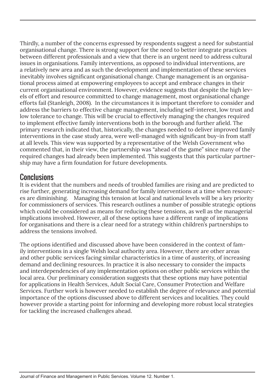Thirdly, a number of the concerns expressed by respondents suggest a need for substantial organisational change. There is strong support for the need to better integrate practices between different professionals and a view that there is an urgent need to address cultural issues in organisations. Family interventions, as opposed to individual interventions, are a relatively new area and as such the development and implementation of these services inevitably involves significant organisational change. Change management is an organisational process aimed at empowering employees to accept and embrace changes in their current organisational environment. However, evidence suggests that despite the high levels of effort and resource committed to change management, most organisational change efforts fail (Stanleigh, 2008). In the circumstances it is important therefore to consider and address the barriers to effective change management, including self-interest, low trust and low tolerance to change. This will be crucial to effectively managing the changes required to implement effective family interventions both in the borough and further afield. The primary research indicated that, historically, the changes needed to deliver improved family interventions in the case study area, were well-managed with significant buy-in from staff at all levels. This view was supported by a representative of the Welsh Government who commented that, in their view, the partnership was "ahead of the game" since many of the required changes had already been implemented. This suggests that this particular partnership may have a firm foundation for future developments.

#### **Conclusions**

It is evident that the numbers and needs of troubled families are rising and are predicted to rise further, generating increasing demand for family interventions at a time when resources are diminishing. Managing this tension at local and national levels will be a key priority for commissioners of services. This research outlines a number of possible strategic options which could be considered as means for reducing these tensions, as well as the managerial implications involved. However, all of these options have a different range of implications for organisations and there is a clear need for a strategy within children's partnerships to address the tensions involved.

The options identified and discussed above have been considered in the context of family interventions in a single Welsh local authority area. However, there are other areas and other public services facing similar characteristics in a time of austerity, of increasing demand and declining resources. In practice it is also necessary to consider the impacts and interdependencies of any implementation options on other public services within the local area. Our preliminary consideration suggests that these options may have potential for applications in Health Services, Adult Social Care, Consumer Protection and Welfare Services. Further work is however needed to establish the degree of relevance and potential importance of the options discussed above to different services and localities. They could however provide a starting point for informing and developing more robust local strategies for tackling the increased challenges ahead.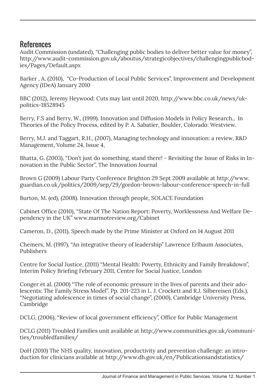#### References

Audit Commission (undated), "Challenging public bodies to deliver better value for money", http://www.audit-commission.gov.uk/aboutus/strategicobjectives/challengingpublicbodies/Pages/Default.aspx

Barker , A. (2010), "Co-Production of Local Public Services", Improvement and Development Agency (IDeA) January 2010

BBC (2012), Jeremy Heywood: Cuts may last until 2020, http://www.bbc.co.uk/news/ukpolitics-18528945

Berry, F.S and Berry, W., (1999). Innovation and Diffusion Models in Policy Research., In Theories of the Policy Process, edited by P. A. Sabatier, Boulder, Colorado: Westview.

Berry, M.J. and Taggart, R.H., (2007), Managing technology and innovation: a review, R&D Management, Volume 24, Issue 4,

Bhatta, G. (2003), "Don't just do something, stand there! - Revisiting the Issue of Risks in Innovation in the Public Sector", The Innovation Journal

Brown G (2009) Labour Party Conference Brighton 29 Sept 2009 available at http://www. guardian.co.uk/politics/2009/sep/29/gordon-brown-labour-conference-speech-in-full

Burton, M. (ed), (2008). Innovation through people, SOLACE Foundation

Cabinet Office (2010), "State Of The Nation Report: Poverty, Worklessness And Welfare Dependency in the UK" www.marmotreview.org/Cabinet

Cameron, D., (2011), Speech made by the Prime Minister at Oxford on 14 August 2011

Chemers, M. (1997), "An integrative theory of leadership" Lawrence Erlbaum Associates, Publishers

Centre for Social Justice, (2011) "Mental Health: Poverty, Ethnicity and Family Breakdown", Interim Policy Briefing February 2011, Centre for Social Justice, London

Conger et al, (2000) "The role of economic pressure in the lives of parents and their adolescents: The Family Stress Model". Pp. 201-223 in L. J. Crockett and R.J. Silbereisen (Eds.), "Negotiating adolescence in times of social change", (2000), Cambridge University Press, Cambridge

DCLG, (2006), "Review of local government efficiency", Office for Public Management

DCLG (2011) Troubled Families unit available at http://www.communities.gov.uk/communities/troubledfamilies/

DoH (2010) The NHS quality, innovation, productivity and prevention challenge: an introduction for clinicians available at http://www.dh.gov.uk/en/Publicationsandstatistics/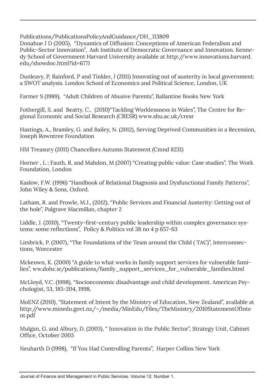Publications/PublicationsPolicyAndGuidance/DH\_113809

Donahue J D (2005), "Dynamics of Diffusion: Conceptions of American Federalism and Public-Sector Innovation", Ash Institute of Democratic Governance and Innovation. Kennedy School of Government Harvard University available at http://www.innovations.harvard. edu/showdoc.html?id=6771

Dunleavy, P, Rainford, P and Tinkler, J (2011) Innovating out of austerity in local government: a SWOT analysis. London School of Economics and Political Science, London, UK

Farmer S (1989), "Adult Children of Abusive Parents", Ballantine Books New York

Fothergill, S. and Beatty, C., (2010)"Tackling Worklessness in Wales", The Centre for Regional Economic and Social Research (CRESR) www.shu.ac.uk/cresr

Hastings, A., Bramley, G. and Bailey, N. (2012), Serving Deprived Communities in a Recession, Joseph Rowntree Foundation

HM Treasury (2011) Chancellors Autumn Statement (Cmnd 8231)

Horner , L ; Fauth, R. and Mahdon, M (2007) "Creating public value: Case studies", The Work Foundation, London

Kaslow, F.W. (1996) "Handbook of Relational Diagnosis and Dysfunctional Family Patterns", John Wiley & Sons, Oxford.

Latham, R. and Prowle, M.J., (2012), "Public Services and Financial Austerity: Getting out of the hole", Palgrave Macmillan, chapter 2

Liddle, J. (2010), "Twenty-first-century public leadership within complex governance systems: some reflections", Policy & Politics vol 38 no 4 p 657-63

Limbrick, P. (2007), "The Foundations of the Team around the Child ( TAC)", Interconnections, Worcester

Mckeown, K. (2000) "A guide to what works in family support services for vulnerable families", ww.dohc.ie/publications/family\_support\_services\_for\_vulnerable\_families.html

McLloyd, V.C. (1998), "Socioeconomic disadvantage and child development. American Psychologist, 53, 185-204, 1998.

MoENZ (2010), "Statement of Intent by the Ministry of Education, New Zealand", available at http://www.minedu.govt.nz/~/media/MinEdu/Files/TheMinistry/2010StatementOfInte nt.pdf

Mulgan, G. and Albury, D. (2003), " Innovation in the Public Sector", Strategy Unit, Cabinet Office, October 2003

Neuharth D (1998), "If You Had Controlling Parents", Harper Collins New York